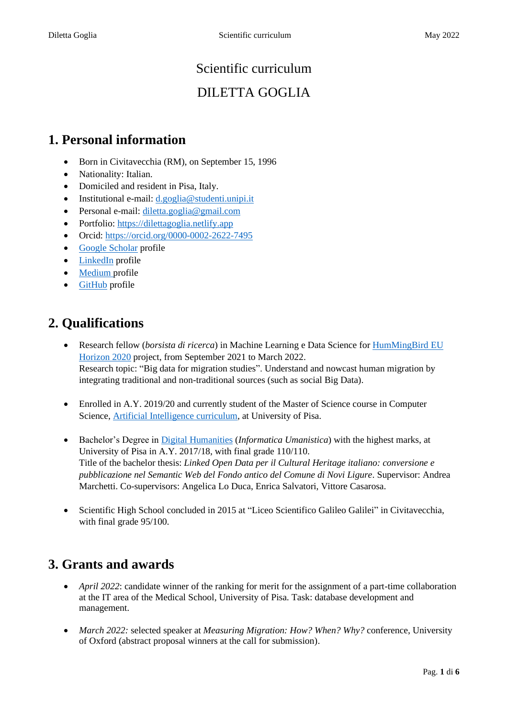# Scientific curriculum

# DILETTA GOGLIA

## **1. Personal information**

- Born in Civitavecchia (RM), on September 15, 1996
- Nationality: Italian.
- Domiciled and resident in Pisa, Italy.
- Institutional e-mail:  $d.goglia@studenti.unipi.it$
- Personal e-mail: [diletta.goglia@gmail.com](mailto:diletta.goglia@gmail.com)
- Portfolio: [https://dilettagoglia.netlify.app](https://dilettagoglia.netlify.app/30%20-%2006%20-%202021)
- Orcid:<https://orcid.org/0000-0002-2622-7495>
- [Google Scholar](https://scholar.google.com/citations?hl=it&user=DEljG4UAAAAJ) profile
- [LinkedIn](https://www.linkedin.com/in/dilettagoglia/) profile
- [Medium](https://medium.com/@d.goglia) profile
- [GitHub](https://github.com/dilettagoglia) profile

# **2. Qualifications**

- Research fellow (*borsista di ricerca*) in Machine Learning e Data Science for **[HumMingBird](https://hummingbird-h2020.eu/about) EU** Horizon 2020 project, from September 2021 to March 2022. Research topic: "Big data for migration studies". Understand and nowcast human migration by integrating traditional and non-traditional sources (such as social Big Data).
- Enrolled in A.Y. 2019/20 and currently student of the Master of Science course in Computer Science, [Artificial Intelligence](https://didattica.di.unipi.it/laurea-magistrale-in-informatica/curricula/curriculum-artificial-intelligence/) curriculum, at University of Pisa.
- Bachelor's Degree in [Digital Humanities](https://infouma.fileli.unipi.it/) (*Informatica Umanistica*) with the highest marks, at University of Pisa in A.Y. 2017/18, with final grade 110/110. Title of the bachelor thesis: *Linked Open Data per il Cultural Heritage italiano: conversione e pubblicazione nel Semantic Web del Fondo antico del Comune di Novi Ligure*. Supervisor: Andrea Marchetti. Co-supervisors: Angelica Lo Duca, Enrica Salvatori, Vittore Casarosa.
- Scientific High School concluded in 2015 at "Liceo Scientifico Galileo Galilei" in Civitavecchia, with final grade 95/100.

# **3. Grants and awards**

- *April 2022*: candidate winner of the ranking for merit for the assignment of a part-time collaboration at the IT area of the Medical School, University of Pisa. Task: database development and management.
- *March* 2022: selected speaker at *Measuring Migration: How? When? Why?* conference, University of Oxford (abstract proposal winners at the call for submission).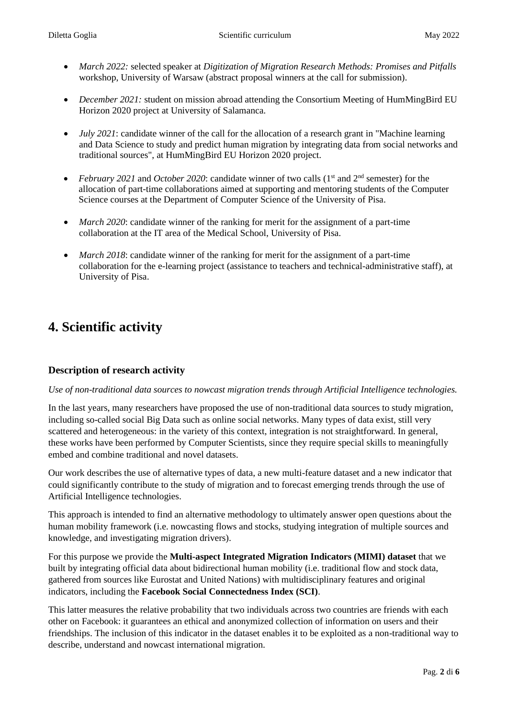- *March 2022:* selected speaker at *Digitization of Migration Research Methods: Promises and Pitfalls* workshop, University of Warsaw (abstract proposal winners at the call for submission).
- *December 2021:* student on mission abroad attending the Consortium Meeting of HumMingBird EU Horizon 2020 project at University of Salamanca.
- *July 2021*: candidate winner of the call for the allocation of a research grant in "Machine learning" and Data Science to study and predict human migration by integrating data from social networks and traditional sources", at HumMingBird EU Horizon 2020 project.
- *February 2021* and *October 2020*: candidate winner of two calls (1<sup>st</sup> and 2<sup>nd</sup> semester) for the allocation of part-time collaborations aimed at supporting and mentoring students of the Computer Science courses at the Department of Computer Science of the University of Pisa.
- *March 2020*: candidate winner of the ranking for merit for the assignment of a part-time collaboration at the IT area of the Medical School, University of Pisa.
- *March 2018*: candidate winner of the ranking for merit for the assignment of a part-time collaboration for the e-learning project (assistance to teachers and technical-administrative staff), at University of Pisa.

# **4. Scientific activity**

#### **Description of research activity**

#### *Use of non-traditional data sources to nowcast migration trends through Artificial Intelligence technologies.*

In the last years, many researchers have proposed the use of non-traditional data sources to study migration, including so-called social Big Data such as online social networks. Many types of data exist, still very scattered and heterogeneous: in the variety of this context, integration is not straightforward. In general, these works have been performed by Computer Scientists, since they require special skills to meaningfully embed and combine traditional and novel datasets.

Our work describes the use of alternative types of data, a new multi-feature dataset and a new indicator that could significantly contribute to the study of migration and to forecast emerging trends through the use of Artificial Intelligence technologies.

This approach is intended to find an alternative methodology to ultimately answer open questions about the human mobility framework (i.e. nowcasting flows and stocks, studying integration of multiple sources and knowledge, and investigating migration drivers).

For this purpose we provide the **Multi-aspect Integrated Migration Indicators (MIMI) dataset** that we built by integrating official data about bidirectional human mobility (i.e. traditional flow and stock data, gathered from sources like Eurostat and United Nations) with multidisciplinary features and original indicators, including the **Facebook Social Connectedness Index (SCI)**.

This latter measures the relative probability that two individuals across two countries are friends with each other on Facebook: it guarantees an ethical and anonymized collection of information on users and their friendships. The inclusion of this indicator in the dataset enables it to be exploited as a non-traditional way to describe, understand and nowcast international migration.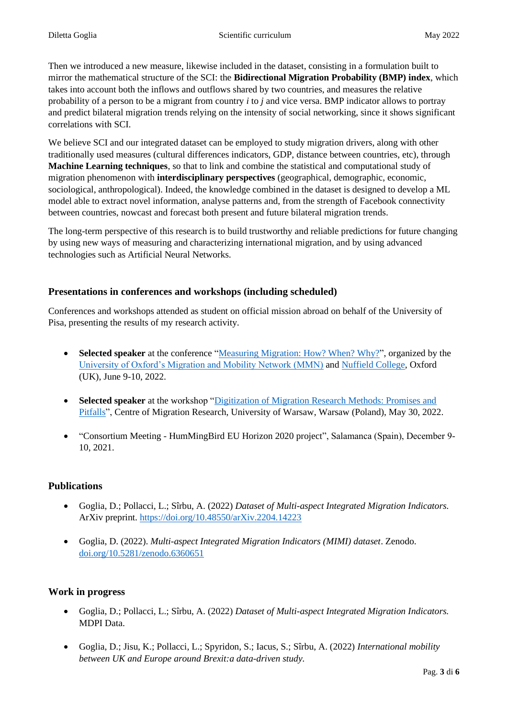Then we introduced a new measure, likewise included in the dataset, consisting in a formulation built to mirror the mathematical structure of the SCI: the **Bidirectional Migration Probability (BMP) index**, which takes into account both the inflows and outflows shared by two countries, and measures the relative probability of a person to be a migrant from country *i* to *j* and vice versa. BMP indicator allows to portray and predict bilateral migration trends relying on the intensity of social networking, since it shows significant correlations with SCI.

We believe SCI and our integrated dataset can be employed to study migration drivers, along with other traditionally used measures (cultural differences indicators, GDP, distance between countries, etc), through **Machine Learning techniques**, so that to link and combine the statistical and computational study of migration phenomenon with **interdisciplinary perspectives** (geographical, demographic, economic, sociological, anthropological). Indeed, the knowledge combined in the dataset is designed to develop a ML model able to extract novel information, analyse patterns and, from the strength of Facebook connectivity between countries, nowcast and forecast both present and future bilateral migration trends.

The long-term perspective of this research is to build trustworthy and reliable predictions for future changing by using new ways of measuring and characterizing international migration, and by using advanced technologies such as Artificial Neural Networks.

#### **Presentations in conferences and workshops (including scheduled)**

Conferences and workshops attended as student on official mission abroad on behalf of the University of Pisa, presenting the results of my research activity.

- **Selected speaker** at the conference ["Measuring Migration: How? When? Why?"](https://www.torch.ox.ac.uk/event/call-for-papers/submissions-mmn-conference-measuring-migration-how-when-why?fbclid=IwAR0ML5v0ANKyZKBb572EO8ZEuzpV7HQJA-eCCBuclAVq6uO9N53BWmmN4YI), organized by the [University of Oxford's Migration and Mobility Network \(MMN\)](https://www.torch.ox.ac.uk/migration-and-mobility) and [Nuffield College,](https://www.nuffield.ox.ac.uk/) Oxford (UK), June 9-10, 2022.
- **Selected speaker** at the workshop ["Digitization of Migration Research Methods: Promises and](https://www.imiscoe.org/news-and-blog/news/news-from-members/1426-call-for-papers-workshop-digitization-of-migration-research-methods-promises-and-pitfalls)  [Pitfalls"](https://www.imiscoe.org/news-and-blog/news/news-from-members/1426-call-for-papers-workshop-digitization-of-migration-research-methods-promises-and-pitfalls), Centre of Migration Research, University of Warsaw, Warsaw (Poland), May 30, 2022.
- "Consortium Meeting HumMingBird EU Horizon 2020 project", Salamanca (Spain), December 9- 10, 2021.

#### **Publications**

- Goglia, D.; Pollacci, L.; Sîrbu, A. (2022) *Dataset of Multi-aspect Integrated Migration Indicators.*  ArXiv preprint. <https://doi.org/10.48550/arXiv.2204.14223>
- Goglia, D. (2022). *Multi-aspect Integrated Migration Indicators (MIMI) dataset*. Zenodo. [doi.org/10.5281/zenodo.6360651](https://doi.org/10.5281/zenodo.6360651)

#### **Work in progress**

- Goglia, D.; Pollacci, L.; Sîrbu, A. (2022) *Dataset of Multi-aspect Integrated Migration Indicators.* MDPI Data.
- Goglia, D.; Jisu, K.; Pollacci, L.; Spyridon, S.; Iacus, S.; Sîrbu, A. (2022) *International mobility between UK and Europe around Brexit:a data-driven study.*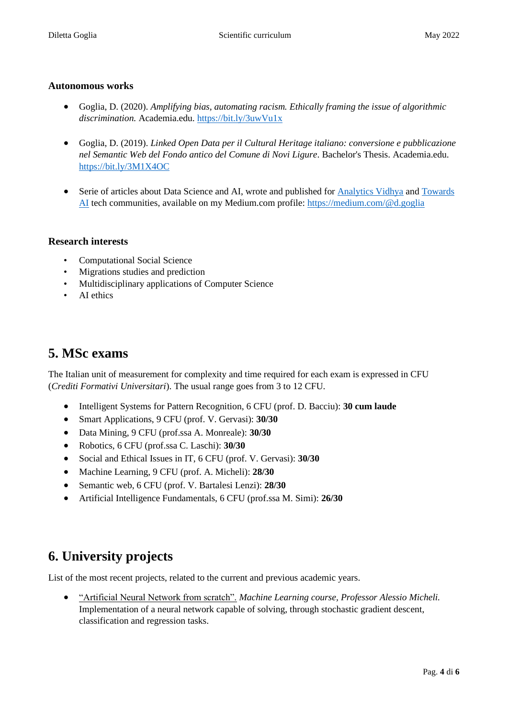#### **Autonomous works**

- Goglia, D. (2020). *Amplifying bias, automating racism. Ethically framing the issue of algorithmic discrimination.* Academia.edu. <https://bit.ly/3uwVu1x>
- Goglia, D. (2019). *Linked Open Data per il Cultural Heritage italiano: conversione e pubblicazione nel Semantic Web del Fondo antico del Comune di Novi Ligure*. Bachelor's Thesis. Academia.edu. <https://bit.ly/3M1X4OC>
- Serie of articles about Data Science and AI, wrote and published for [Analytics Vidhya](https://medium.com/analytics-vidhya) and Towards [AI](https://pub.towardsai.net/) tech communities, available on my Medium.com profile:<https://medium.com/@d.goglia>

#### **Research interests**

- Computational Social Science
- Migrations studies and prediction
- Multidisciplinary applications of Computer Science
- AI ethics

### **5. MSc exams**

The Italian unit of measurement for complexity and time required for each exam is expressed in CFU (*Crediti Formativi Universitari*). The usual range goes from 3 to 12 CFU.

- Intelligent Systems for Pattern Recognition, 6 CFU (prof. D. Bacciu): **30 cum laude**
- Smart Applications, 9 CFU (prof. V. Gervasi): **30/30**
- Data Mining, 9 CFU (prof.ssa A. Monreale): **30/30**
- Robotics, 6 CFU (prof.ssa C. Laschi): **30/30**
- Social and Ethical Issues in IT, 6 CFU (prof. V. Gervasi): **30/30**
- Machine Learning, 9 CFU (prof. A. Micheli): **28/30**
- Semantic web, 6 CFU (prof. V. Bartalesi Lenzi): **28/30**
- Artificial Intelligence Fundamentals, 6 CFU (prof.ssa M. Simi): **26/30**

# **6. University projects**

List of the most recent projects, related to the current and previous academic years.

• "Artificial Neural Network from scratch". *Machine Learning course, Professor Alessio Micheli.* Implementation of a neural network capable of solving, through stochastic gradient descent, classification and regression tasks.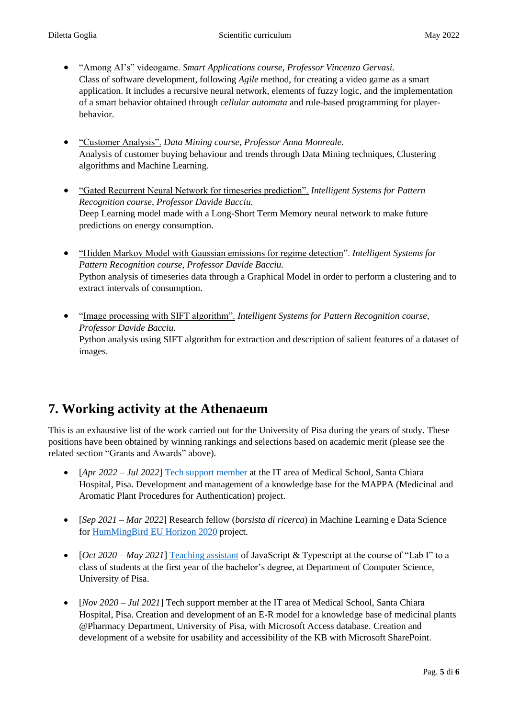- "Among AI's" videogame. *Smart Applications course, Professor Vincenzo Gervasi.* Class of software development, following *Agile* method, for creating a video game as a smart application. It includes a recursive neural network, elements of fuzzy logic, and the implementation of a smart behavior obtained through *cellular automata* and rule-based programming for playerbehavior.
- "Customer Analysis". *Data Mining course, Professor Anna Monreale.* Analysis of customer buying behaviour and trends through Data Mining techniques, Clustering algorithms and Machine Learning.
- "Gated Recurrent Neural Network for timeseries prediction". *Intelligent Systems for Pattern Recognition course, Professor Davide Bacciu.* Deep Learning model made with a Long-Short Term Memory neural network to make future predictions on energy consumption.
- "Hidden Markov Model with Gaussian emissions for regime detection". *Intelligent Systems for Pattern Recognition course, Professor Davide Bacciu.* Python analysis of timeseries data through a Graphical Model in order to perform a clustering and to extract intervals of consumption.
- "Image processing with SIFT algorithm". *Intelligent Systems for Pattern Recognition course, Professor Davide Bacciu.* Python analysis using SIFT algorithm for extraction and description of salient features of a dataset of images.

# **7. Working activity at the Athenaeum**

This is an exhaustive list of the work carried out for the University of Pisa during the years of study. These positions have been obtained by winning rankings and selections based on academic merit (please see the related section "Grants and Awards" above).

- [*Apr 2022 Jul 2022*] [Tech support](https://alboufficiale.unipi.it/blog/2022/05/02/dipartimento-di-farmacia-esito-bando-di-selezione-per-n-1-incarico-di-collaborazione-di-studenti-per-il-progetto-speciale-alla-didattica-mappa-medicinal-and-aromatic-plant-procedures-for-authenti/) member at the IT area of Medical School, Santa Chiara Hospital, Pisa. Development and management of a knowledge base for the MAPPA (Medicinal and Aromatic Plant Procedures for Authentication) project.
- [*Sep 2021 – Mar 2022*] Research fellow (*borsista di ricerca*) in Machine Learning e Data Science for [HumMingBird](https://hummingbird-h2020.eu/about) EU Horizon 2020 project.
- [*Oct 2020 – May 2021*] [Teaching assistant](https://alboufficiale.unipi.it/wp-content/uploads/2021/01/verbale-supporti2021.pdf) of JavaScript & Typescript at the course of "Lab I" to a class of students at the first year of the bachelor's degree, at Department of Computer Science, University of Pisa.
- [*Nov 2020 – Jul 2021*] Tech support member at the IT area of Medical School, Santa Chiara Hospital, Pisa. Creation and development of an E-R model for a knowledge base of medicinal plants @Pharmacy Department, University of Pisa, with Microsoft Access database. Creation and development of a website for usability and accessibility of the KB with Microsoft SharePoint.